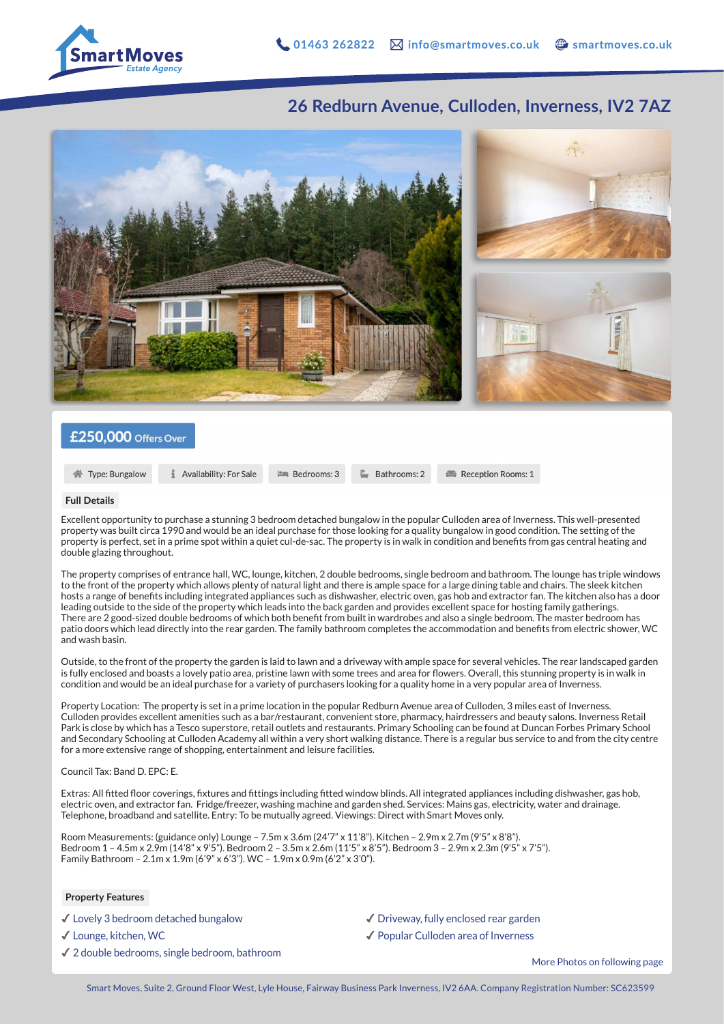

## **26 Redburn Avenue, Culloden, Inverness, IV2 7AZ**



### £250,000 Offers Over

**1** Availability: For Sale **PERIODIS: 3**  Bathrooms: 2

Reception Rooms: 1

#### **Full Details**

Excellent opportunity to purchase a stunning 3 bedroom detached bungalow in the popular Culloden area of Inverness. This well-presented property was built circa 1990 and would be an ideal purchase for those looking for a quality bungalow in good condition. The setting of the property is perfect, set in a prime spot within a quiet cul-de-sac. The property is in walk in condition and benefits from gas central heating and double glazing throughout.

The property comprises of entrance hall, WC, lounge, kitchen, 2 double bedrooms, single bedroom and bathroom. The lounge has triple windows to the front of the property which allows plenty of natural light and there is ample space for a large dining table and chairs. The sleek kitchen hosts a range of benefits including integrated appliances such as dishwasher, electric oven, gas hob and extractor fan. The kitchen also has a door leading outside to the side of the property which leads into the back garden and provides excellent space for hosting family gatherings. There are 2 good-sized double bedrooms of which both benefit from built in wardrobes and also a single bedroom. The master bedroom has patio doors which lead directly into the rear garden. The family bathroom completes the accommodation and benefits from electric shower, WC and wash basin.

Outside, to the front of the property the garden is laid to lawn and a driveway with ample space for several vehicles. The rear landscaped garden is fully enclosed and boasts a lovely patio area, pristine lawn with some trees and area for flowers. Overall, this stunning property is in walk in condition and would be an ideal purchase for a variety of purchasers looking for a quality home in a very popular area of Inverness.

Property Location: The property is set in a prime location in the popular Redburn Avenue area of Culloden, 3 miles east of Inverness. Culloden provides excellent amenities such as a bar/restaurant, convenient store, pharmacy, hairdressers and beauty salons. Inverness Retail Park is close by which has a Tesco superstore, retail outlets and restaurants. Primary Schooling can be found at Duncan Forbes Primary School and Secondary Schooling at Culloden Academy all within a very short walking distance. There is a regular bus service to and from the city centre for a more extensive range of shopping, entertainment and leisure facilities.

#### Council Tax: Band D. EPC: E.

Extras: All fitted floor coverings, fixtures and fittings including fitted window blinds. All integrated appliances including dishwasher, gas hob, electric oven, and extractor fan. Fridge/freezer, washing machine and garden shed. Services: Mains gas, electricity, water and drainage. Telephone, broadband and satellite. Entry: To be mutually agreed. Viewings: Direct with Smart Moves only.

Room Measurements: (guidance only) Lounge – 7.5m x 3.6m (24'7" x 11'8"). Kitchen – 2.9m x 2.7m (9'5" x 8'8"). Bedroom 1 – 4.5m x 2.9m (14'8" x 9'5"). Bedroom 2 – 3.5m x 2.6m (11'5" x 8'5"). Bedroom 3 – 2.9m x 2.3m (9'5" x 7'5"). Family Bathroom – 2.1m x 1.9m (6'9" x 6'3"). WC – 1.9m x 0.9m (6'2" x 3'0").

#### **Property Features**

✔︎ Lovely 3 bedroom detached bungalow

✔︎ Lounge, kitchen, WC

✔︎ 2 double bedrooms, single bedroom, bathroom

✔︎ Driveway, fully enclosed rear garden

✔︎ Popular Culloden area of Inverness

More Photos on following page

**谷** Type: Bungalow